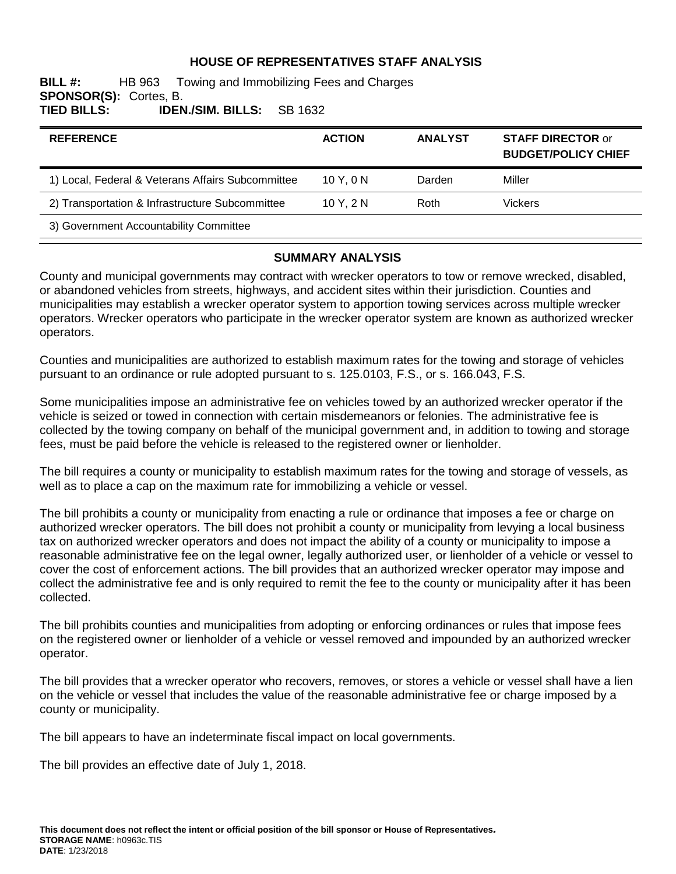### **HOUSE OF REPRESENTATIVES STAFF ANALYSIS**

### **BILL #:** HB 963 Towing and Immobilizing Fees and Charges **SPONSOR(S):** Cortes, B. **TIED BILLS: IDEN./SIM. BILLS:** SB 1632

| <b>REFERENCE</b>                                  | <b>ACTION</b> | <b>ANALYST</b> | <b>STAFF DIRECTOR or</b><br><b>BUDGET/POLICY CHIEF</b> |
|---------------------------------------------------|---------------|----------------|--------------------------------------------------------|
| 1) Local, Federal & Veterans Affairs Subcommittee | 10Y.0N        | Darden         | Miller                                                 |
| 2) Transportation & Infrastructure Subcommittee   | 10Y.2N        | Roth           | <b>Vickers</b>                                         |
| 3) Government Accountability Committee            |               |                |                                                        |

### **SUMMARY ANALYSIS**

County and municipal governments may contract with wrecker operators to tow or remove wrecked, disabled, or abandoned vehicles from streets, highways, and accident sites within their jurisdiction. Counties and municipalities may establish a wrecker operator system to apportion towing services across multiple wrecker operators. Wrecker operators who participate in the wrecker operator system are known as authorized wrecker operators.

Counties and municipalities are authorized to establish maximum rates for the towing and storage of vehicles pursuant to an ordinance or rule adopted pursuant to s. 125.0103, F.S., or s. 166.043, F.S.

Some municipalities impose an administrative fee on vehicles towed by an authorized wrecker operator if the vehicle is seized or towed in connection with certain misdemeanors or felonies. The administrative fee is collected by the towing company on behalf of the municipal government and, in addition to towing and storage fees, must be paid before the vehicle is released to the registered owner or lienholder.

The bill requires a county or municipality to establish maximum rates for the towing and storage of vessels, as well as to place a cap on the maximum rate for immobilizing a vehicle or vessel.

The bill prohibits a county or municipality from enacting a rule or ordinance that imposes a fee or charge on authorized wrecker operators. The bill does not prohibit a county or municipality from levying a local business tax on authorized wrecker operators and does not impact the ability of a county or municipality to impose a reasonable administrative fee on the legal owner, legally authorized user, or lienholder of a vehicle or vessel to cover the cost of enforcement actions. The bill provides that an authorized wrecker operator may impose and collect the administrative fee and is only required to remit the fee to the county or municipality after it has been collected.

The bill prohibits counties and municipalities from adopting or enforcing ordinances or rules that impose fees on the registered owner or lienholder of a vehicle or vessel removed and impounded by an authorized wrecker operator.

The bill provides that a wrecker operator who recovers, removes, or stores a vehicle or vessel shall have a lien on the vehicle or vessel that includes the value of the reasonable administrative fee or charge imposed by a county or municipality.

The bill appears to have an indeterminate fiscal impact on local governments.

The bill provides an effective date of July 1, 2018.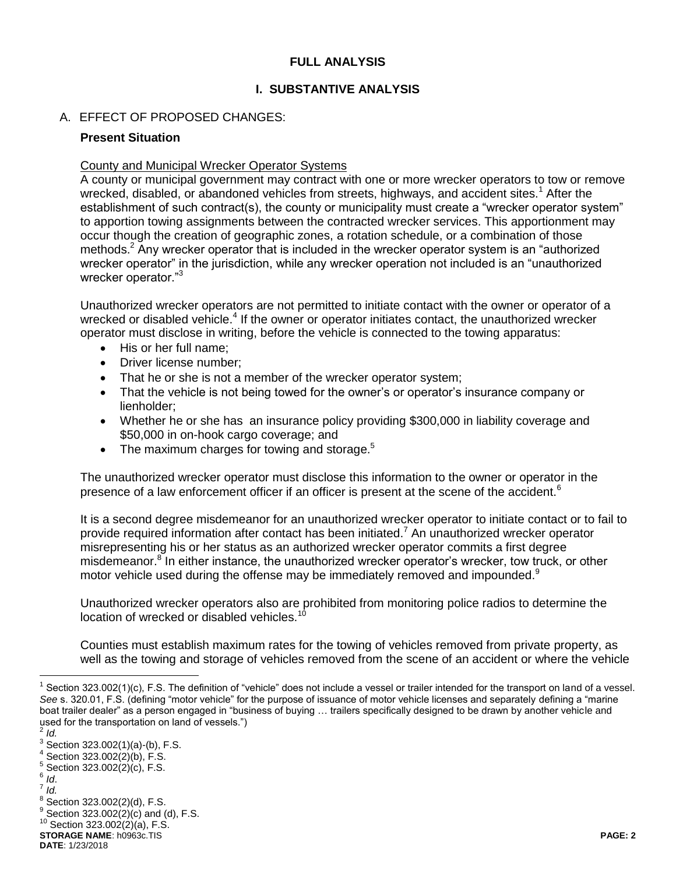### **FULL ANALYSIS**

### **I. SUBSTANTIVE ANALYSIS**

### A. EFFECT OF PROPOSED CHANGES:

### **Present Situation**

### County and Municipal Wrecker Operator Systems

A county or municipal government may contract with one or more wrecker operators to tow or remove wrecked, disabled, or abandoned vehicles from streets, highways, and accident sites.<sup>1</sup> After the establishment of such contract(s), the county or municipality must create a "wrecker operator system" to apportion towing assignments between the contracted wrecker services. This apportionment may occur though the creation of geographic zones, a rotation schedule, or a combination of those methods.<sup>2</sup> Any wrecker operator that is included in the wrecker operator system is an "authorized" wrecker operator" in the jurisdiction, while any wrecker operation not included is an "unauthorized wrecker operator."<sup>3</sup>

Unauthorized wrecker operators are not permitted to initiate contact with the owner or operator of a wrecked or disabled vehicle.<sup>4</sup> If the owner or operator initiates contact, the unauthorized wrecker operator must disclose in writing, before the vehicle is connected to the towing apparatus:

- His or her full name;
- Driver license number;
- That he or she is not a member of the wrecker operator system;
- That the vehicle is not being towed for the owner's or operator's insurance company or lienholder;
- Whether he or she has an insurance policy providing \$300,000 in liability coverage and \$50,000 in on-hook cargo coverage; and
- $\bullet$  The maximum charges for towing and storage.<sup>5</sup>

The unauthorized wrecker operator must disclose this information to the owner or operator in the presence of a law enforcement officer if an officer is present at the scene of the accident.<sup>6</sup>

It is a second degree misdemeanor for an unauthorized wrecker operator to initiate contact or to fail to provide required information after contact has been initiated.<sup>7</sup> An unauthorized wrecker operator misrepresenting his or her status as an authorized wrecker operator commits a first degree misdemeanor.<sup>8</sup> In either instance, the unauthorized wrecker operator's wrecker, tow truck, or other motor vehicle used during the offense may be immediately removed and impounded.<sup>9</sup>

Unauthorized wrecker operators also are prohibited from monitoring police radios to determine the location of wrecked or disabled vehicles.<sup>1</sup>

Counties must establish maximum rates for the towing of vehicles removed from private property, as well as the towing and storage of vehicles removed from the scene of an accident or where the vehicle

 $\overline{a}$ 

<sup>&</sup>lt;sup>1</sup> Section 323.002(1)(c), F.S. The definition of "vehicle" does not include a vessel or trailer intended for the transport on land of a vessel. *See* s. 320.01, F.S. (defining "motor vehicle" for the purpose of issuance of motor vehicle licenses and separately defining a "marine boat trailer dealer" as a person engaged in "business of buying … trailers specifically designed to be drawn by another vehicle and used for the transportation on land of vessels.")

*Id.*

 $3$  Section 323.002(1)(a)-(b), F.S.

 $4$  Section 323.002(2)(b), F.S.

 $5$  Section 323.002(2)(c), F.S.

<sup>6</sup> *Id*. 7 *Id.*

 $8^8$  Section 323.002(2)(d), F.S.

 $^{9}$  Section 323.002(2)(c) and (d), F.S.

 $10$  Section 323.002(2)(a), F.S.

**STORAGE NAME**: h0963c.TIS **PAGE: 2**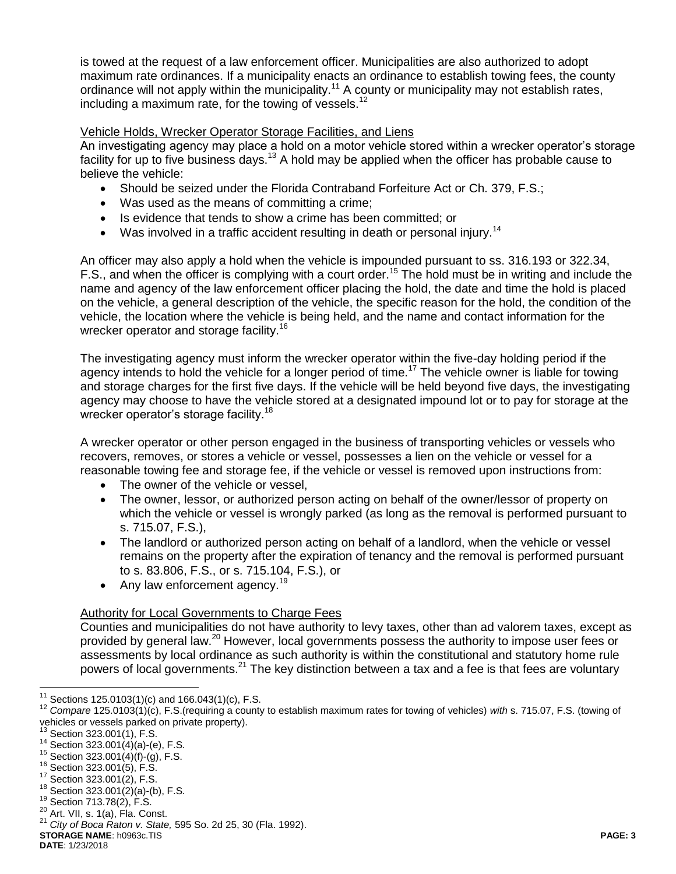is towed at the request of a law enforcement officer. Municipalities are also authorized to adopt maximum rate ordinances. If a municipality enacts an ordinance to establish towing fees, the county ordinance will not apply within the municipality.<sup>11</sup> A county or municipality may not establish rates, including a maximum rate, for the towing of vessels.<sup>12</sup>

### Vehicle Holds, Wrecker Operator Storage Facilities, and Liens

An investigating agency may place a hold on a motor vehicle stored within a wrecker operator's storage facility for up to five business days.<sup>13</sup> A hold may be applied when the officer has probable cause to believe the vehicle:

- Should be seized under the Florida Contraband Forfeiture Act or Ch. 379, F.S.;
- Was used as the means of committing a crime;
- Is evidence that tends to show a crime has been committed; or
- Was involved in a traffic accident resulting in death or personal injury.<sup>14</sup>

An officer may also apply a hold when the vehicle is impounded pursuant to ss. 316.193 or 322.34, F.S., and when the officer is complying with a court order.<sup>15</sup> The hold must be in writing and include the name and agency of the law enforcement officer placing the hold, the date and time the hold is placed on the vehicle, a general description of the vehicle, the specific reason for the hold, the condition of the vehicle, the location where the vehicle is being held, and the name and contact information for the wrecker operator and storage facility.<sup>16</sup>

The investigating agency must inform the wrecker operator within the five-day holding period if the agency intends to hold the vehicle for a longer period of time.<sup>17</sup> The vehicle owner is liable for towing and storage charges for the first five days. If the vehicle will be held beyond five days, the investigating agency may choose to have the vehicle stored at a designated impound lot or to pay for storage at the wrecker operator's storage facility.<sup>18</sup>

A wrecker operator or other person engaged in the business of transporting vehicles or vessels who recovers, removes, or stores a vehicle or vessel, possesses a lien on the vehicle or vessel for a reasonable towing fee and storage fee, if the vehicle or vessel is removed upon instructions from:

- The owner of the vehicle or vessel,
- The owner, lessor, or authorized person acting on behalf of the owner/lessor of property on which the vehicle or vessel is wrongly parked (as long as the removal is performed pursuant to s. 715.07, F.S.),
- The landlord or authorized person acting on behalf of a landlord, when the vehicle or vessel remains on the property after the expiration of tenancy and the removal is performed pursuant to s. 83.806, F.S., or s. 715.104, F.S.), or
- Any law enforcement agency.<sup>19</sup>

# Authority for Local Governments to Charge Fees

Counties and municipalities do not have authority to levy taxes, other than ad valorem taxes, except as provided by general law.<sup>20</sup> However, local governments possess the authority to impose user fees or assessments by local ordinance as such authority is within the constitutional and statutory home rule powers of local governments.<sup>21</sup> The key distinction between a tax and a fee is that fees are voluntary

 $\overline{a}$ 

**DATE**: 1/23/2018

 $11$  Sections 125.0103(1)(c) and 166.043(1)(c), F.S.

<sup>12</sup> *Compare* 125.0103(1)(c), F.S.(requiring a county to establish maximum rates for towing of vehicles) *with* s. 715.07, F.S. (towing of vehicles or vessels parked on private property).

 $13$  Section 323.001(1), F.S.

 $14$  Section 323.001(4)(a)-(e), F.S.

 $15$  Section 323.001(4)(f)-(g), F.S.

<sup>16</sup> Section 323.001(5), F.S.

<sup>17</sup> Section 323.001(2), F.S.

<sup>18</sup> Section 323.001(2)(a)-(b), F.S.

<sup>19</sup> Section 713.78(2), F.S.

<sup>20</sup> Art. VII, s. 1(a), Fla. Const.

**STORAGE NAME**: h0963c.TIS **PAGE: 3** <sup>21</sup> *City of Boca Raton v. State,* 595 So. 2d 25, 30 (Fla. 1992).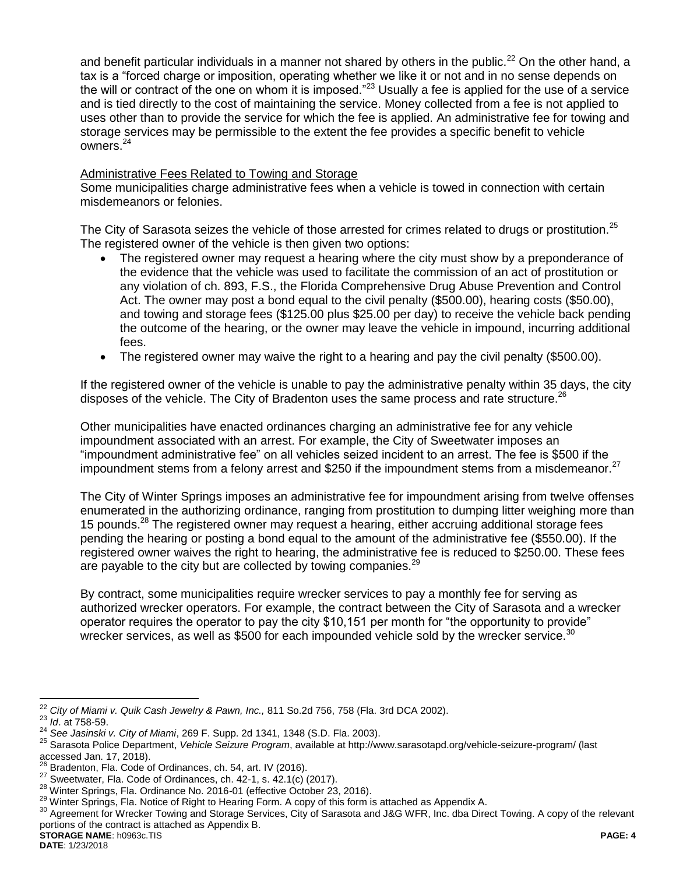and benefit particular individuals in a manner not shared by others in the public.<sup>22</sup> On the other hand, a tax is a "forced charge or imposition, operating whether we like it or not and in no sense depends on the will or contract of the one on whom it is imposed." $^{23}$  Usually a fee is applied for the use of a service and is tied directly to the cost of maintaining the service. Money collected from a fee is not applied to uses other than to provide the service for which the fee is applied. An administrative fee for towing and storage services may be permissible to the extent the fee provides a specific benefit to vehicle owners.<sup>24</sup>

### Administrative Fees Related to Towing and Storage

Some municipalities charge administrative fees when a vehicle is towed in connection with certain misdemeanors or felonies.

The City of Sarasota seizes the vehicle of those arrested for crimes related to drugs or prostitution.<sup>25</sup> The registered owner of the vehicle is then given two options:

- The registered owner may request a hearing where the city must show by a preponderance of the evidence that the vehicle was used to facilitate the commission of an act of prostitution or any violation of ch. 893, F.S., the Florida Comprehensive Drug Abuse Prevention and Control Act. The owner may post a bond equal to the civil penalty (\$500.00), hearing costs (\$50.00), and towing and storage fees (\$125.00 plus \$25.00 per day) to receive the vehicle back pending the outcome of the hearing, or the owner may leave the vehicle in impound, incurring additional fees.
- The registered owner may waive the right to a hearing and pay the civil penalty (\$500.00).

If the registered owner of the vehicle is unable to pay the administrative penalty within 35 days, the city disposes of the vehicle. The City of Bradenton uses the same process and rate structure.<sup>26</sup>

Other municipalities have enacted ordinances charging an administrative fee for any vehicle impoundment associated with an arrest. For example, the City of Sweetwater imposes an "impoundment administrative fee" on all vehicles seized incident to an arrest. The fee is \$500 if the impoundment stems from a felony arrest and \$250 if the impoundment stems from a misdemeanor.<sup>27</sup>

The City of Winter Springs imposes an administrative fee for impoundment arising from twelve offenses enumerated in the authorizing ordinance, ranging from prostitution to dumping litter weighing more than 15 pounds.<sup>28</sup> The registered owner may request a hearing, either accruing additional storage fees pending the hearing or posting a bond equal to the amount of the administrative fee (\$550.00). If the registered owner waives the right to hearing, the administrative fee is reduced to \$250.00. These fees are payable to the city but are collected by towing companies.<sup>29</sup>

By contract, some municipalities require wrecker services to pay a monthly fee for serving as authorized wrecker operators. For example, the contract between the City of Sarasota and a wrecker operator requires the operator to pay the city \$10,151 per month for "the opportunity to provide" wrecker services, as well as \$500 for each impounded vehicle sold by the wrecker service. $30$ 

 $\overline{a}$ 

<sup>22</sup> *City of Miami v. Quik Cash Jewelry & Pawn, Inc.,* 811 So.2d 756, 758 (Fla. 3rd DCA 2002).

<sup>23</sup> *Id*. at 758-59.

<sup>24</sup> *See Jasinski v. City of Miami*, 269 F. Supp. 2d 1341, 1348 (S.D. Fla. 2003).

<sup>25</sup> Sarasota Police Department, *Vehicle Seizure Program*, available a[t http://www.sarasotapd.org/vehicle-seizure-program/](http://www.sarasotapd.org/vehicle-seizure-program/) (last accessed Jan. 17, 2018).

Bradenton, Fla. Code of Ordinances, ch. 54, art. IV (2016).

 $27$  Sweetwater, Fla. Code of Ordinances, ch. 42-1, s. 42.1(c) (2017).

<sup>&</sup>lt;sup>28</sup> Winter Springs, Fla. Ordinance No. 2016-01 (effective October 23, 2016).

<sup>29</sup> Winter Springs, Fla. Notice of Right to Hearing Form. A copy of this form is attached as Appendix A.

**STORAGE NAME**: h0963c.TIS **PAGE: 4** <sup>30</sup> Agreement for Wrecker Towing and Storage Services, City of Sarasota and J&G WFR, Inc. dba Direct Towing. A copy of the relevant portions of the contract is attached as Appendix B.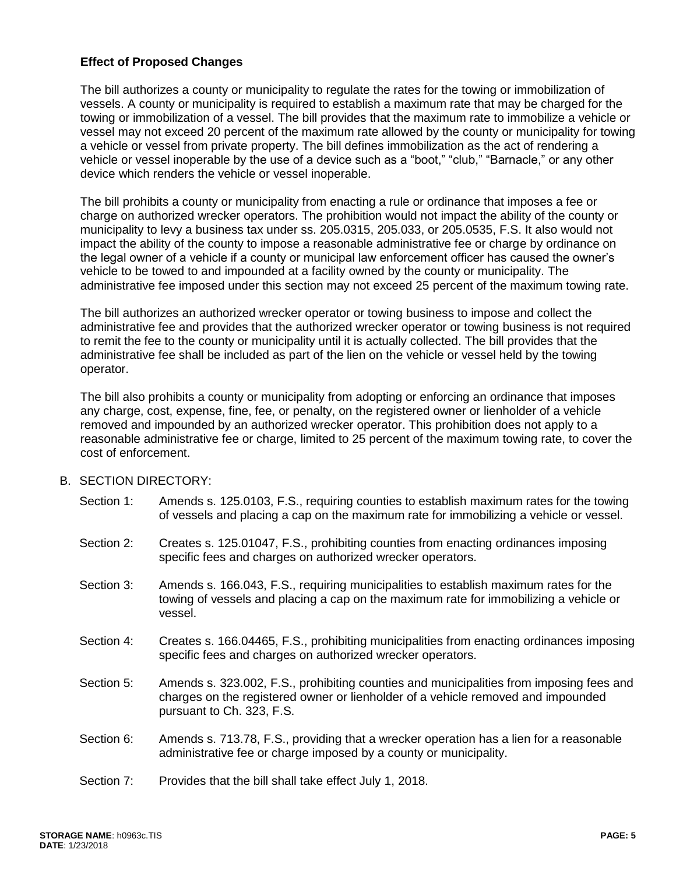### **Effect of Proposed Changes**

The bill authorizes a county or municipality to regulate the rates for the towing or immobilization of vessels. A county or municipality is required to establish a maximum rate that may be charged for the towing or immobilization of a vessel. The bill provides that the maximum rate to immobilize a vehicle or vessel may not exceed 20 percent of the maximum rate allowed by the county or municipality for towing a vehicle or vessel from private property. The bill defines immobilization as the act of rendering a vehicle or vessel inoperable by the use of a device such as a "boot," "club," "Barnacle," or any other device which renders the vehicle or vessel inoperable.

The bill prohibits a county or municipality from enacting a rule or ordinance that imposes a fee or charge on authorized wrecker operators. The prohibition would not impact the ability of the county or municipality to levy a business tax under ss. 205.0315, 205.033, or 205.0535, F.S. It also would not impact the ability of the county to impose a reasonable administrative fee or charge by ordinance on the legal owner of a vehicle if a county or municipal law enforcement officer has caused the owner's vehicle to be towed to and impounded at a facility owned by the county or municipality. The administrative fee imposed under this section may not exceed 25 percent of the maximum towing rate.

The bill authorizes an authorized wrecker operator or towing business to impose and collect the administrative fee and provides that the authorized wrecker operator or towing business is not required to remit the fee to the county or municipality until it is actually collected. The bill provides that the administrative fee shall be included as part of the lien on the vehicle or vessel held by the towing operator.

The bill also prohibits a county or municipality from adopting or enforcing an ordinance that imposes any charge, cost, expense, fine, fee, or penalty, on the registered owner or lienholder of a vehicle removed and impounded by an authorized wrecker operator. This prohibition does not apply to a reasonable administrative fee or charge, limited to 25 percent of the maximum towing rate, to cover the cost of enforcement.

### B. SECTION DIRECTORY:

- Section 1: Amends s. 125.0103, F.S., requiring counties to establish maximum rates for the towing of vessels and placing a cap on the maximum rate for immobilizing a vehicle or vessel.
- Section 2: Creates s. 125.01047, F.S., prohibiting counties from enacting ordinances imposing specific fees and charges on authorized wrecker operators.
- Section 3: Amends s. 166.043, F.S., requiring municipalities to establish maximum rates for the towing of vessels and placing a cap on the maximum rate for immobilizing a vehicle or vessel.
- Section 4: Creates s. 166.04465, F.S., prohibiting municipalities from enacting ordinances imposing specific fees and charges on authorized wrecker operators.
- Section 5: Amends s. 323.002, F.S., prohibiting counties and municipalities from imposing fees and charges on the registered owner or lienholder of a vehicle removed and impounded pursuant to Ch. 323, F.S.
- Section 6: Amends s. 713.78, F.S., providing that a wrecker operation has a lien for a reasonable administrative fee or charge imposed by a county or municipality.
- Section 7: Provides that the bill shall take effect July 1, 2018.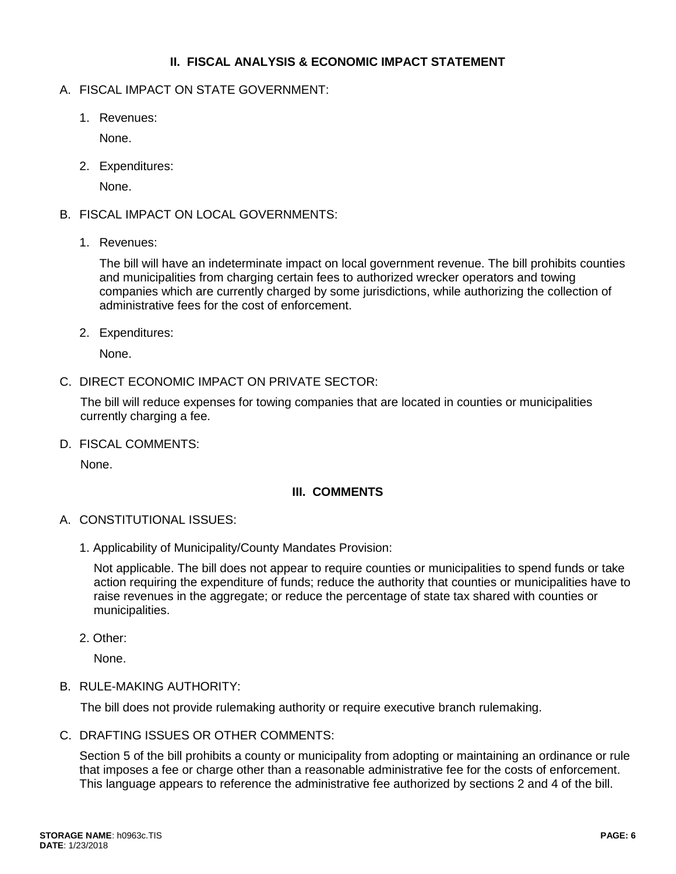### **II. FISCAL ANALYSIS & ECONOMIC IMPACT STATEMENT**

## A. FISCAL IMPACT ON STATE GOVERNMENT:

1. Revenues:

None.

2. Expenditures:

None.

- B. FISCAL IMPACT ON LOCAL GOVERNMENTS:
	- 1. Revenues:

The bill will have an indeterminate impact on local government revenue. The bill prohibits counties and municipalities from charging certain fees to authorized wrecker operators and towing companies which are currently charged by some jurisdictions, while authorizing the collection of administrative fees for the cost of enforcement.

2. Expenditures:

None.

C. DIRECT ECONOMIC IMPACT ON PRIVATE SECTOR:

The bill will reduce expenses for towing companies that are located in counties or municipalities currently charging a fee.

D. FISCAL COMMENTS:

None.

# **III. COMMENTS**

- A. CONSTITUTIONAL ISSUES:
	- 1. Applicability of Municipality/County Mandates Provision:

Not applicable. The bill does not appear to require counties or municipalities to spend funds or take action requiring the expenditure of funds; reduce the authority that counties or municipalities have to raise revenues in the aggregate; or reduce the percentage of state tax shared with counties or municipalities.

2. Other:

None.

B. RULE-MAKING AUTHORITY:

The bill does not provide rulemaking authority or require executive branch rulemaking.

C. DRAFTING ISSUES OR OTHER COMMENTS:

Section 5 of the bill prohibits a county or municipality from adopting or maintaining an ordinance or rule that imposes a fee or charge other than a reasonable administrative fee for the costs of enforcement. This language appears to reference the administrative fee authorized by sections 2 and 4 of the bill.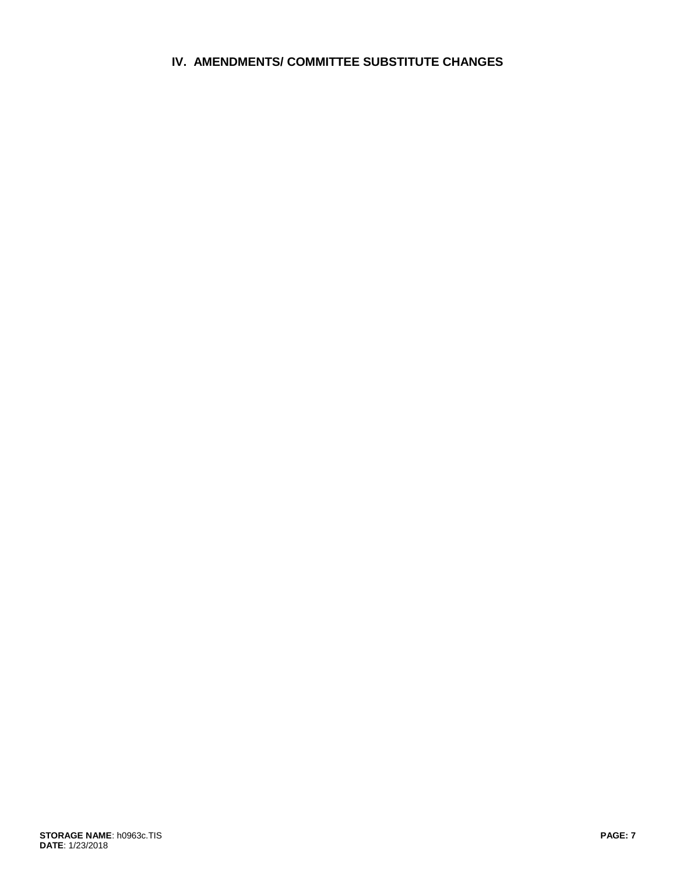# **IV. AMENDMENTS/ COMMITTEE SUBSTITUTE CHANGES**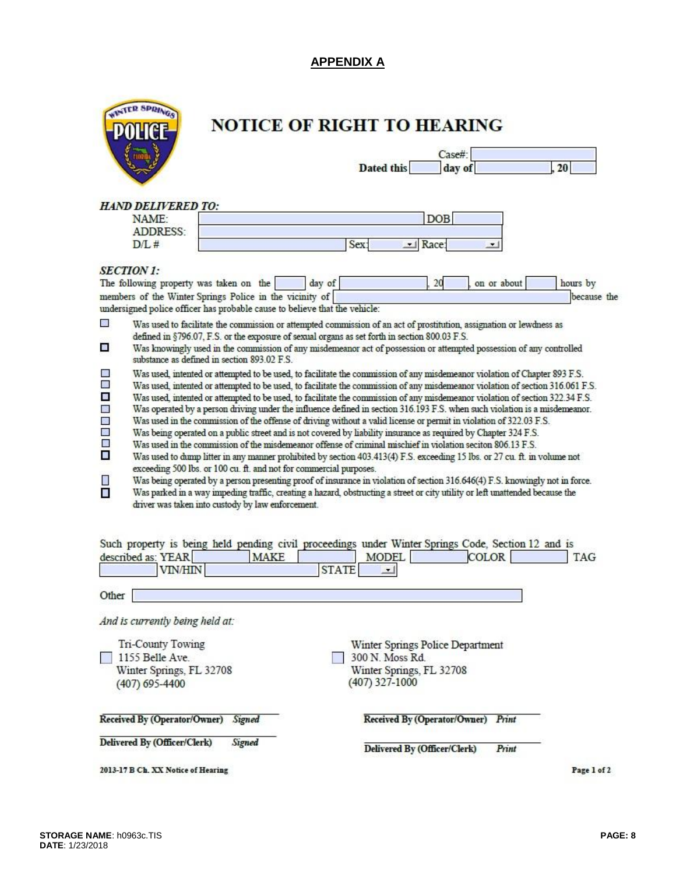# **APPENDIX A**

| TR SPRINGS |
|------------|
| POLICE     |
|            |
|            |

# NOTICE OF RIGHT TO HEARING

|            | Case#  |  |
|------------|--------|--|
| Dated this | day of |  |

### **HAND DELIVERED TO:**

| NAME:    |  |
|----------|--|
| ADDRESS: |  |
| 12/1.7   |  |

| <b>AME</b><br>יבר |                |
|-------------------|----------------|
| н                 |                |
| L#                | <b>COMPANY</b> |

### **SECTION 1:**

|                                                                                                                                                                    | 20<br>The following property was taken on the<br>day of<br>on or about                                                                                                                                                                                                                                                                                                                                                                                                                                                                                                                                                                                                                                                                                                                                                                                                                                                                                                                                                                                                                                                                                                                                                                                                                                                                                                                                   | hours by    |
|--------------------------------------------------------------------------------------------------------------------------------------------------------------------|----------------------------------------------------------------------------------------------------------------------------------------------------------------------------------------------------------------------------------------------------------------------------------------------------------------------------------------------------------------------------------------------------------------------------------------------------------------------------------------------------------------------------------------------------------------------------------------------------------------------------------------------------------------------------------------------------------------------------------------------------------------------------------------------------------------------------------------------------------------------------------------------------------------------------------------------------------------------------------------------------------------------------------------------------------------------------------------------------------------------------------------------------------------------------------------------------------------------------------------------------------------------------------------------------------------------------------------------------------------------------------------------------------|-------------|
|                                                                                                                                                                    | members of the Winter Springs Police in the vicinity of<br>undersigned police officer has probable cause to believe that the vehicle:                                                                                                                                                                                                                                                                                                                                                                                                                                                                                                                                                                                                                                                                                                                                                                                                                                                                                                                                                                                                                                                                                                                                                                                                                                                                    | because the |
| $\mathcal{L}_{\mathcal{N}}$<br>a.                                                                                                                                  | Was used to facilitate the commission or attempted commission of an act of prostitution, assignation or lewdness as<br>defined in §796.07, F.S. or the exposure of sexual organs as set forth in section 800.03 F.S.<br>Was knowingly used in the commission of any misdemeanor act of possession or attempted possession of any controlled<br>substance as defined in section 893.02 F.S.                                                                                                                                                                                                                                                                                                                                                                                                                                                                                                                                                                                                                                                                                                                                                                                                                                                                                                                                                                                                               |             |
| $\mathcal{L}_{\mathcal{D}}$<br>鑩<br>$\mathcal{L}_{\mathcal{A}}$<br>鼹<br>$\mathcal{L}_{\mathcal{A}}$<br>$\mathcal{L}_{\mathcal{A}}$<br>O<br>П<br>n.<br>$\mathbf{r}$ | Was used, intented or attempted to be used, to facilitate the commission of any misdemeanor violation of Chapter 893 F.S.<br>Was used, intented or attempted to be used, to facilitate the commission of any misdemeanor violation of section 316.061 F.S.<br>Was used, intented or attempted to be used, to facilitate the commission of any misdemeanor violation of section 322.34 F.S.<br>Was operated by a person driving under the influence defined in section 316.193 F.S. when such violation is a misdemeanor.<br>Was used in the commission of the offense of driving without a valid license or permit in violation of 322.03 F.S.<br>Was being operated on a public street and is not covered by liability insurance as required by Chapter 324 F.S.<br>Was used in the commission of the misdemeanor offense of criminal mischief in violation seciton 806.13 F.S.<br>Was used to dump litter in any manner prohibited by section 403.413(4) F.S. exceeding 15 lbs. or 27 cu. ft. in volume not<br>exceeding 500 lbs. or 100 cu. ft. and not for commercial purposes.<br>Was being operated by a person presenting proof of insurance in violation of section 316.646(4) F.S. knowingly not in force.<br>Was parked in a way impeding traffic, creating a hazard, obstructing a street or city utility or left unattended because the<br>driver was taken into custody by law enforcement. |             |

| described as: YEAR<br><b>MAKE</b><br><b>VIN/HIN</b>                                 | Such property is being held pending civil proceedings under Winter Springs Code, Section 12 and is<br><b>COLOR</b><br>MODEL<br>TAG<br><b>STATE</b><br>$\overline{\phantom{0}}$ |
|-------------------------------------------------------------------------------------|--------------------------------------------------------------------------------------------------------------------------------------------------------------------------------|
| Other                                                                               |                                                                                                                                                                                |
| And is currently being held at:                                                     |                                                                                                                                                                                |
| Tri-County Towing<br>1155 Belle Ave<br>Winter Springs, FL 32708<br>$(407)$ 695-4400 | Winter Springs Police Department<br>300 N. Moss Rd.<br>Winter Springs, FL 32708<br>(407) 327-1000                                                                              |
| Received By (Operator/Owner)<br>Signed                                              | Received By (Operator/Owner)<br>Print                                                                                                                                          |
| Delivered By (Officer/Clerk)<br>Signed                                              | Print<br>Delivered By (Officer/Clerk)                                                                                                                                          |
| 2013-17 B Ch. XX Notice of Hearing                                                  | Page 1 of 2                                                                                                                                                                    |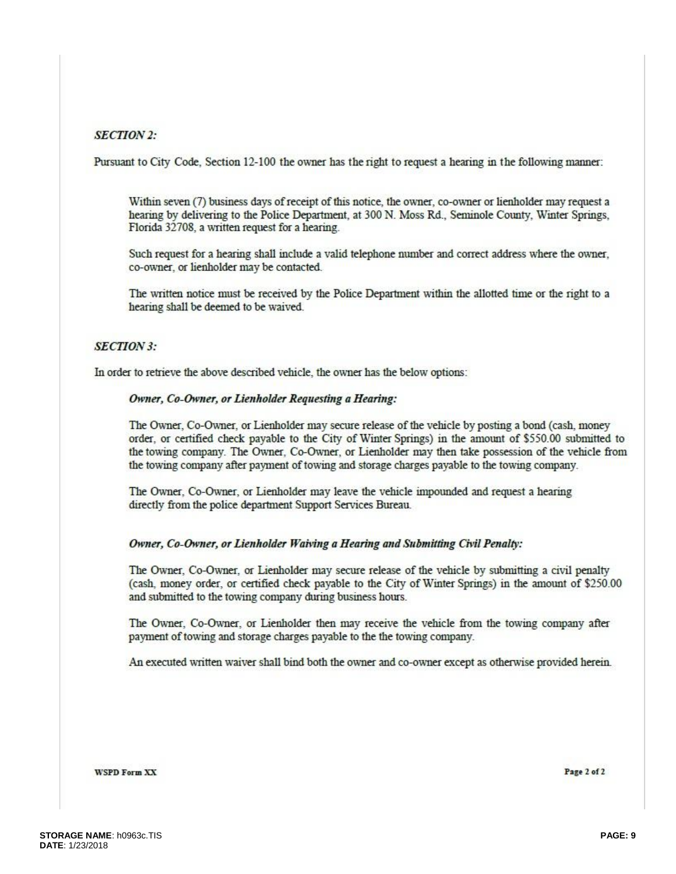### **SECTION 2:**

Pursuant to City Code, Section 12-100 the owner has the right to request a hearing in the following manner:

Within seven (7) business days of receipt of this notice, the owner, co-owner or lienholder may request a hearing by delivering to the Police Department, at 300 N. Moss Rd., Seminole County, Winter Springs, Florida 32708, a written request for a hearing.

Such request for a hearing shall include a valid telephone number and correct address where the owner, co-owner, or lienholder may be contacted.

The written notice must be received by the Police Department within the allotted time or the right to a hearing shall be deemed to be waived.

### **SECTION 3:**

In order to retrieve the above described vehicle, the owner has the below options:

#### Owner, Co-Owner, or Lienholder Requesting a Hearing:

The Owner, Co-Owner, or Lienholder may secure release of the vehicle by posting a bond (cash, money order, or certified check payable to the City of Winter Springs) in the amount of \$550.00 submitted to the towing company. The Owner, Co-Owner, or Lienholder may then take possession of the vehicle from the towing company after payment of towing and storage charges payable to the towing company.

The Owner, Co-Owner, or Lienholder may leave the vehicle impounded and request a hearing directly from the police department Support Services Bureau.

#### Owner, Co-Owner, or Lienholder Waiving a Hearing and Submitting Civil Penalty:

The Owner, Co-Owner, or Lienholder may secure release of the vehicle by submitting a civil penalty (cash, money order, or certified check payable to the City of Winter Springs) in the amount of \$250.00 and submitted to the towing company during business hours.

The Owner, Co-Owner, or Lienholder then may receive the vehicle from the towing company after payment of towing and storage charges payable to the the towing company.

An executed written waiver shall bind both the owner and co-owner except as otherwise provided herein.

**WSPD Form XX** 

Page 2 of 2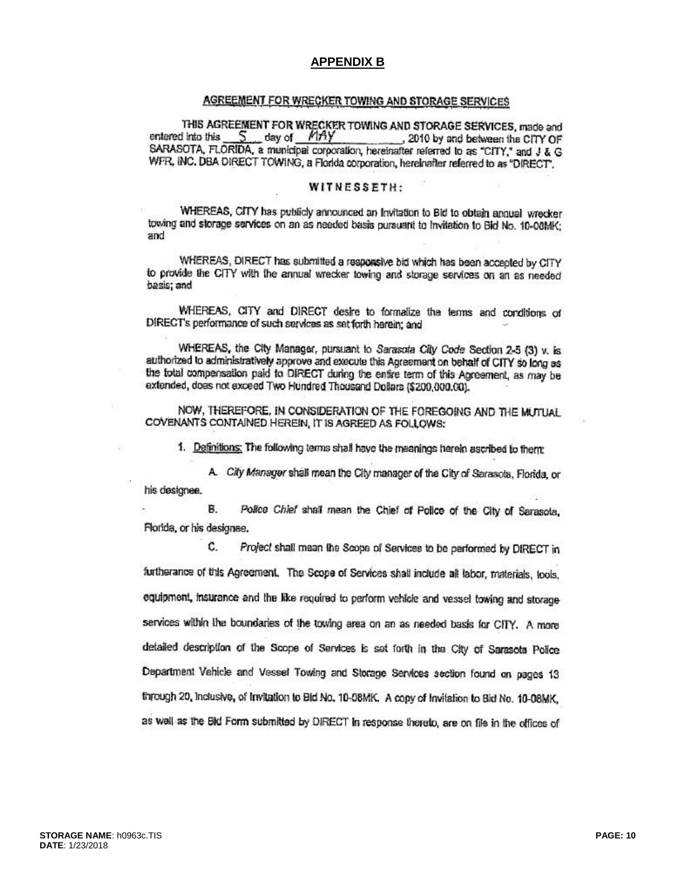#### **APPENDIX B**

#### AGREEMENT FOR WRECKER TOWING AND STORAGE SERVICES

THIS AGREEMENT FOR WRECKER TOWING AND STORAGE SERVICES, made and 5 day of MAY entered into this 2010 by and between the CITY OF SARASOTA, FLORIDA, a municipal corporation, hereinafter referred to as "CITY," and J & G WFR, INC. DBA DIRECT TOWING, a Florida corporation, hereinafter referred to as "DIRECT".

#### WITNESSETH:

WHEREAS, CITY has publicly announced an Invitation to Bid to obtain annual wrecker towing and storage services on an as needed basis pursuant to Invitation to Bid No. 10-08MK; and

WHEREAS, DIRECT has submitted a responsive bid which has been accepted by CITY to provide the CITY with the annual wrecker towing and storage services on an as needed basis; and

WHEREAS, CITY and DIRECT desire to formalize the terms and conditions of DIRECT's performance of such services as set forth herein; and

WHEREAS, the City Manager, pursuant to Sarasota City Code Section 2-5 (3) v. is authorized to administratively approve and execute this Agreement on behalf of CITY so long as the total compensation paid to DIRECT during the entire term of this Agreement, as may be extended, does not exceed Two Hundred Thousand Dollars (\$200,000,00).

NOW. THEREFORE, IN CONSIDERATION OF THE FOREGOING AND THE MUTUAL COVENANTS CONTAINED HEREIN, IT IS AGREED AS FOLLOWS:

1. Definitions: The following terms shall have the meanings herein ascribed to them:

A. City Manager shall mean the City manager of the City of Sarasota, Florida, or his designee.

**B.** Police Chief shall mean the Chief of Police of the City of Sarasota, Florida, or his designee.

C. Project shall mean the Scope of Services to be performed by DIRECT in furtherance of this Agreement. The Scope of Services shall include all labor, materials, tools, equipment, insurance and the like required to perform vehicle and vessel towing and storage services within the boundaries of the towing area on an as needed basis for CITY. A more detailed description of the Scope of Services is set forth in the City of Sarasota Police Department Vehicle and Vessel Towing and Storage Services section found on pages 13 through 20, inclusive, of Invitation to Bid No. 10-08MK. A copy of Invitation to Bid No. 10-08MK, as well as the Bid Form submitted by DIRECT in response thereto, are on file in the offices of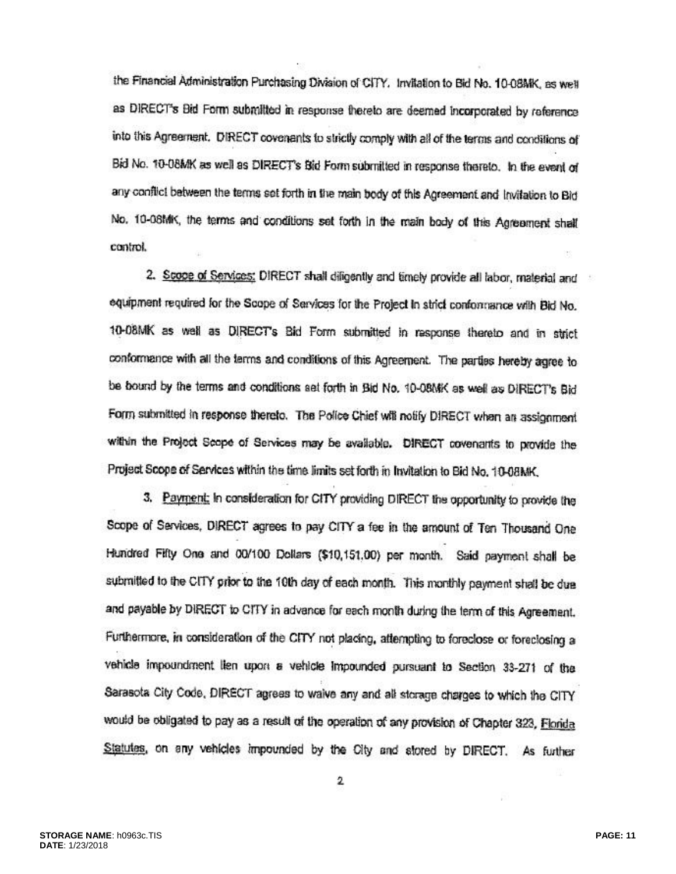the Financial Administration Purchasing Division of CITY. Invitation to Bid No. 10-08MK, as well as DIRECT's Bid Form submitted in response thereto are deemed incorporated by reference into this Agreement. DIRECT covenants to strictly comply with all of the terms and conditions of Bid No. 10-08MK as well as DIRECT's Bid Form submitted in response thereto. In the event of any conflict between the terms set forth in the main body of this Agreement and Invitation to Bid No. 10-08MK, the terms and conditions set forth in the main body of this Agreement shall control.

2. Scope of Services: DIRECT shall diligently and timely provide all labor, material and equipment required for the Scope of Services for the Project in strict conformance with Bid No. 10-08MK as well as DIRECT's Bid Form submitted in response thereto and in strict conformance with all the terms and conditions of this Agreement. The parties hereby agree to be bound by the terms and conditions set forth in Bid No. 10-08MK as well as DIRECT's Bid Form submitted in response thereto. The Police Chief will notify DIRECT when an assignment within the Project Scope of Services may be available. DIRECT covenants to provide the Project Scope of Services within the time limits set forth in Invitation to Bid No. 10-08MK.

3. Payment: In consideration for CITY providing DIRECT the opportunity to provide the Scope of Services, DIRECT agrees to pay CITY a fee in the amount of Ten Thousand One Hundred Fifty One and 00/100 Dollars (\$10,151,00) per month. Said payment shall be submitted to the CITY prior to the 10th day of each month. This monthly payment shall be due and payable by DIRECT to CITY in advance for each month during the term of this Agreement. Furthermore, in consideration of the CITY not placing, attempting to foreclose or foreclosing a vehicle impoundment lien upon a vehicle impounded pursuant to Section 33-271 of the Sarasota City Code, DIRECT agrees to waive any and all storage charges to which the CITY would be obligated to pay as a result of the operation of any provision of Chapter 323, Florida Statutes, on any vehicles impounded by the City and stored by DIRECT. As further